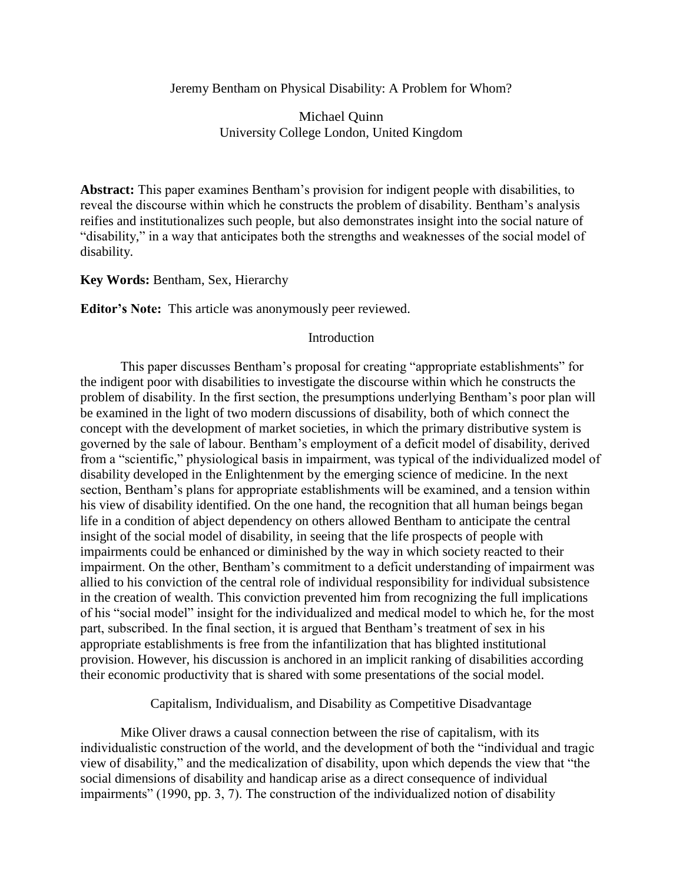## Jeremy Bentham on Physical Disability: A Problem for Whom?

Michael Quinn University College London, United Kingdom

**Abstract:** This paper examines Bentham's provision for indigent people with disabilities, to reveal the discourse within which he constructs the problem of disability. Bentham's analysis reifies and institutionalizes such people, but also demonstrates insight into the social nature of "disability," in a way that anticipates both the strengths and weaknesses of the social model of disability.

## **Key Words:** Bentham, Sex, Hierarchy

**Editor's Note:** This article was anonymously peer reviewed.

### Introduction

This paper discusses Bentham's proposal for creating "appropriate establishments" for the indigent poor with disabilities to investigate the discourse within which he constructs the problem of disability. In the first section, the presumptions underlying Bentham's poor plan will be examined in the light of two modern discussions of disability, both of which connect the concept with the development of market societies, in which the primary distributive system is governed by the sale of labour. Bentham's employment of a deficit model of disability, derived from a "scientific," physiological basis in impairment, was typical of the individualized model of disability developed in the Enlightenment by the emerging science of medicine. In the next section, Bentham's plans for appropriate establishments will be examined, and a tension within his view of disability identified. On the one hand, the recognition that all human beings began life in a condition of abject dependency on others allowed Bentham to anticipate the central insight of the social model of disability, in seeing that the life prospects of people with impairments could be enhanced or diminished by the way in which society reacted to their impairment. On the other, Bentham's commitment to a deficit understanding of impairment was allied to his conviction of the central role of individual responsibility for individual subsistence in the creation of wealth. This conviction prevented him from recognizing the full implications of his "social model" insight for the individualized and medical model to which he, for the most part, subscribed. In the final section, it is argued that Bentham's treatment of sex in his appropriate establishments is free from the infantilization that has blighted institutional provision. However, his discussion is anchored in an implicit ranking of disabilities according their economic productivity that is shared with some presentations of the social model.

Capitalism, Individualism, and Disability as Competitive Disadvantage

Mike Oliver draws a causal connection between the rise of capitalism, with its individualistic construction of the world, and the development of both the "individual and tragic view of disability," and the medicalization of disability, upon which depends the view that "the social dimensions of disability and handicap arise as a direct consequence of individual impairments" (1990, pp. 3, 7). The construction of the individualized notion of disability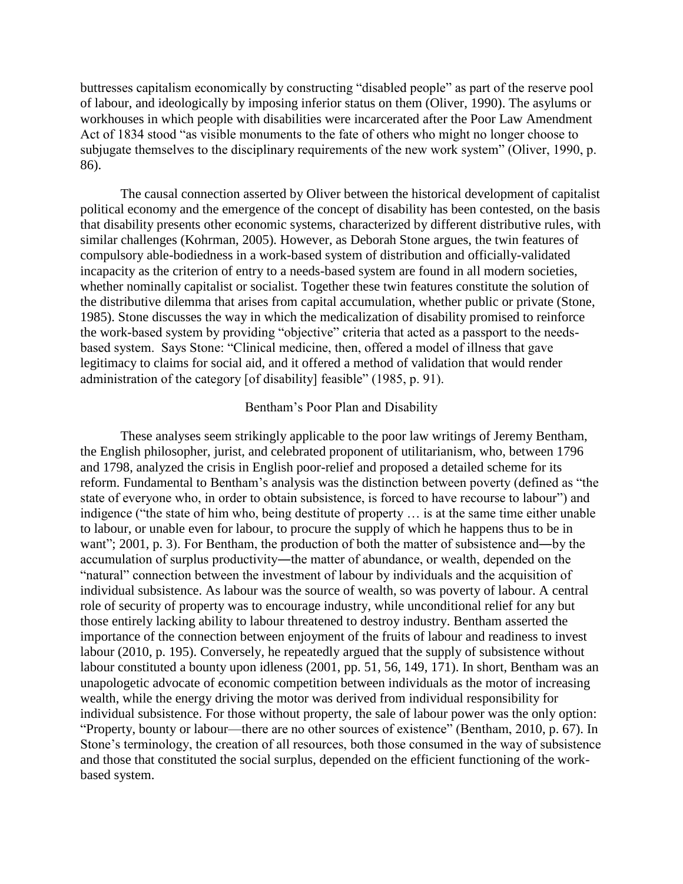buttresses capitalism economically by constructing "disabled people" as part of the reserve pool of labour, and ideologically by imposing inferior status on them (Oliver, 1990). The asylums or workhouses in which people with disabilities were incarcerated after the Poor Law Amendment Act of 1834 stood "as visible monuments to the fate of others who might no longer choose to subjugate themselves to the disciplinary requirements of the new work system" (Oliver, 1990, p. 86).

The causal connection asserted by Oliver between the historical development of capitalist political economy and the emergence of the concept of disability has been contested, on the basis that disability presents other economic systems, characterized by different distributive rules, with similar challenges (Kohrman, 2005). However, as Deborah Stone argues, the twin features of compulsory able-bodiedness in a work-based system of distribution and officially-validated incapacity as the criterion of entry to a needs-based system are found in all modern societies, whether nominally capitalist or socialist. Together these twin features constitute the solution of the distributive dilemma that arises from capital accumulation, whether public or private (Stone, 1985). Stone discusses the way in which the medicalization of disability promised to reinforce the work-based system by providing "objective" criteria that acted as a passport to the needsbased system. Says Stone: "Clinical medicine, then, offered a model of illness that gave legitimacy to claims for social aid, and it offered a method of validation that would render administration of the category [of disability] feasible" (1985, p. 91).

#### Bentham's Poor Plan and Disability

These analyses seem strikingly applicable to the poor law writings of Jeremy Bentham, the English philosopher, jurist, and celebrated proponent of utilitarianism, who, between 1796 and 1798, analyzed the crisis in English poor-relief and proposed a detailed scheme for its reform. Fundamental to Bentham's analysis was the distinction between poverty (defined as "the state of everyone who, in order to obtain subsistence, is forced to have recourse to labour") and indigence ("the state of him who, being destitute of property … is at the same time either unable to labour, or unable even for labour, to procure the supply of which he happens thus to be in want"; 2001, p. 3). For Bentham, the production of both the matter of subsistence and—by the accumulation of surplus productivity―the matter of abundance, or wealth, depended on the "natural" connection between the investment of labour by individuals and the acquisition of individual subsistence. As labour was the source of wealth, so was poverty of labour. A central role of security of property was to encourage industry, while unconditional relief for any but those entirely lacking ability to labour threatened to destroy industry. Bentham asserted the importance of the connection between enjoyment of the fruits of labour and readiness to invest labour (2010, p. 195). Conversely, he repeatedly argued that the supply of subsistence without labour constituted a bounty upon idleness (2001, pp. 51, 56, 149, 171). In short, Bentham was an unapologetic advocate of economic competition between individuals as the motor of increasing wealth, while the energy driving the motor was derived from individual responsibility for individual subsistence. For those without property, the sale of labour power was the only option: "Property, bounty or labour—there are no other sources of existence" (Bentham, 2010, p. 67). In Stone's terminology, the creation of all resources, both those consumed in the way of subsistence and those that constituted the social surplus, depended on the efficient functioning of the workbased system.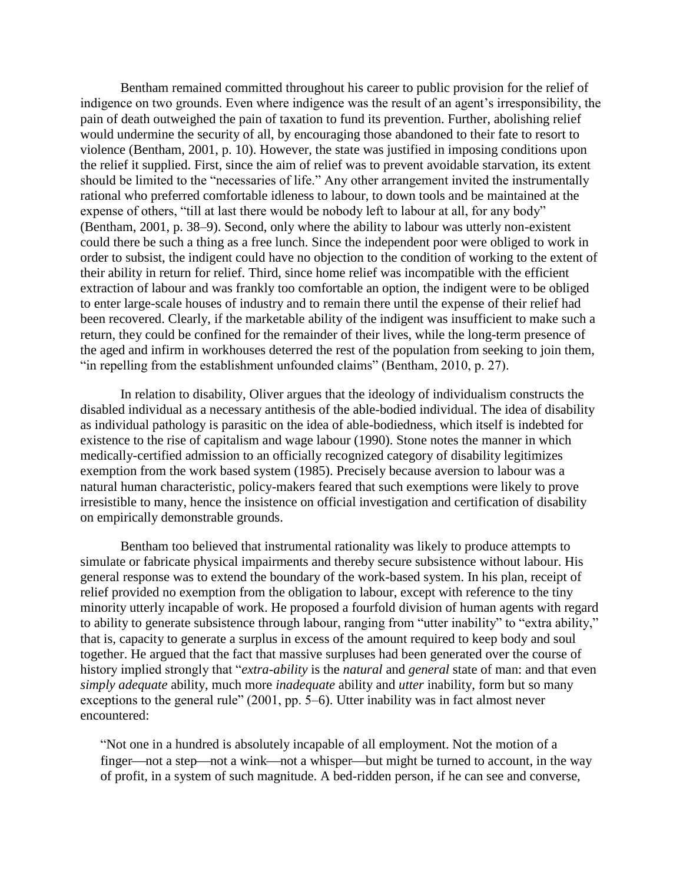Bentham remained committed throughout his career to public provision for the relief of indigence on two grounds. Even where indigence was the result of an agent's irresponsibility, the pain of death outweighed the pain of taxation to fund its prevention. Further, abolishing relief would undermine the security of all, by encouraging those abandoned to their fate to resort to violence (Bentham, 2001, p. 10). However, the state was justified in imposing conditions upon the relief it supplied. First, since the aim of relief was to prevent avoidable starvation, its extent should be limited to the "necessaries of life." Any other arrangement invited the instrumentally rational who preferred comfortable idleness to labour, to down tools and be maintained at the expense of others, "till at last there would be nobody left to labour at all, for any body" (Bentham, 2001, p. 38–9). Second, only where the ability to labour was utterly non-existent could there be such a thing as a free lunch. Since the independent poor were obliged to work in order to subsist, the indigent could have no objection to the condition of working to the extent of their ability in return for relief. Third, since home relief was incompatible with the efficient extraction of labour and was frankly too comfortable an option, the indigent were to be obliged to enter large-scale houses of industry and to remain there until the expense of their relief had been recovered. Clearly, if the marketable ability of the indigent was insufficient to make such a return, they could be confined for the remainder of their lives, while the long-term presence of the aged and infirm in workhouses deterred the rest of the population from seeking to join them, "in repelling from the establishment unfounded claims" (Bentham, 2010, p. 27).

In relation to disability, Oliver argues that the ideology of individualism constructs the disabled individual as a necessary antithesis of the able-bodied individual. The idea of disability as individual pathology is parasitic on the idea of able-bodiedness, which itself is indebted for existence to the rise of capitalism and wage labour (1990). Stone notes the manner in which medically-certified admission to an officially recognized category of disability legitimizes exemption from the work based system (1985). Precisely because aversion to labour was a natural human characteristic, policy-makers feared that such exemptions were likely to prove irresistible to many, hence the insistence on official investigation and certification of disability on empirically demonstrable grounds.

Bentham too believed that instrumental rationality was likely to produce attempts to simulate or fabricate physical impairments and thereby secure subsistence without labour. His general response was to extend the boundary of the work-based system. In his plan, receipt of relief provided no exemption from the obligation to labour, except with reference to the tiny minority utterly incapable of work. He proposed a fourfold division of human agents with regard to ability to generate subsistence through labour, ranging from "utter inability" to "extra ability," that is, capacity to generate a surplus in excess of the amount required to keep body and soul together. He argued that the fact that massive surpluses had been generated over the course of history implied strongly that "*extra-ability* is the *natural* and *general* state of man: and that even *simply adequate* ability, much more *inadequate* ability and *utter* inability, form but so many exceptions to the general rule" (2001, pp. 5–6). Utter inability was in fact almost never encountered:

"Not one in a hundred is absolutely incapable of all employment. Not the motion of a finger—not a step—not a wink—not a whisper—but might be turned to account, in the way of profit, in a system of such magnitude. A bed-ridden person, if he can see and converse,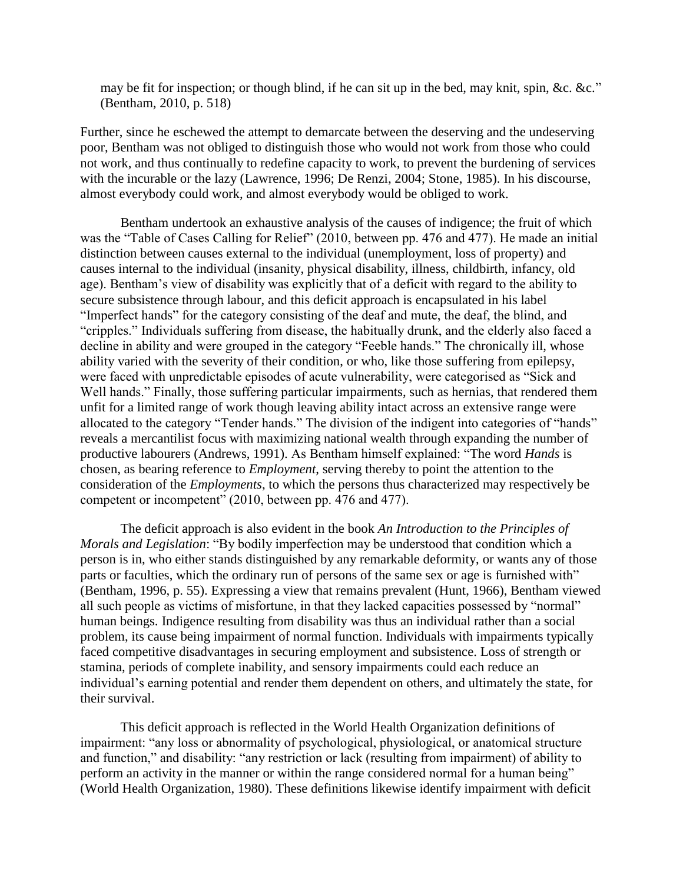may be fit for inspection; or though blind, if he can sit up in the bed, may knit, spin, &c. &c." (Bentham, 2010, p. 518)

Further, since he eschewed the attempt to demarcate between the deserving and the undeserving poor, Bentham was not obliged to distinguish those who would not work from those who could not work, and thus continually to redefine capacity to work, to prevent the burdening of services with the incurable or the lazy (Lawrence, 1996; De Renzi, 2004; Stone, 1985). In his discourse, almost everybody could work, and almost everybody would be obliged to work.

Bentham undertook an exhaustive analysis of the causes of indigence; the fruit of which was the "Table of Cases Calling for Relief" (2010, between pp. 476 and 477). He made an initial distinction between causes external to the individual (unemployment, loss of property) and causes internal to the individual (insanity, physical disability, illness, childbirth, infancy, old age). Bentham's view of disability was explicitly that of a deficit with regard to the ability to secure subsistence through labour, and this deficit approach is encapsulated in his label "Imperfect hands" for the category consisting of the deaf and mute, the deaf, the blind, and "cripples." Individuals suffering from disease, the habitually drunk, and the elderly also faced a decline in ability and were grouped in the category "Feeble hands." The chronically ill, whose ability varied with the severity of their condition, or who, like those suffering from epilepsy, were faced with unpredictable episodes of acute vulnerability, were categorised as "Sick and Well hands." Finally, those suffering particular impairments, such as hernias, that rendered them unfit for a limited range of work though leaving ability intact across an extensive range were allocated to the category "Tender hands." The division of the indigent into categories of "hands" reveals a mercantilist focus with maximizing national wealth through expanding the number of productive labourers (Andrews, 1991). As Bentham himself explained: "The word *Hands* is chosen, as bearing reference to *Employment*, serving thereby to point the attention to the consideration of the *Employments*, to which the persons thus characterized may respectively be competent or incompetent" (2010, between pp. 476 and 477).

The deficit approach is also evident in the book *An Introduction to the Principles of Morals and Legislation*: "By bodily imperfection may be understood that condition which a person is in, who either stands distinguished by any remarkable deformity, or wants any of those parts or faculties, which the ordinary run of persons of the same sex or age is furnished with" (Bentham, 1996, p. 55). Expressing a view that remains prevalent (Hunt, 1966), Bentham viewed all such people as victims of misfortune, in that they lacked capacities possessed by "normal" human beings. Indigence resulting from disability was thus an individual rather than a social problem, its cause being impairment of normal function. Individuals with impairments typically faced competitive disadvantages in securing employment and subsistence. Loss of strength or stamina, periods of complete inability, and sensory impairments could each reduce an individual's earning potential and render them dependent on others, and ultimately the state, for their survival.

This deficit approach is reflected in the World Health Organization definitions of impairment: "any loss or abnormality of psychological, physiological, or anatomical structure and function," and disability: "any restriction or lack (resulting from impairment) of ability to perform an activity in the manner or within the range considered normal for a human being" (World Health Organization, 1980). These definitions likewise identify impairment with deficit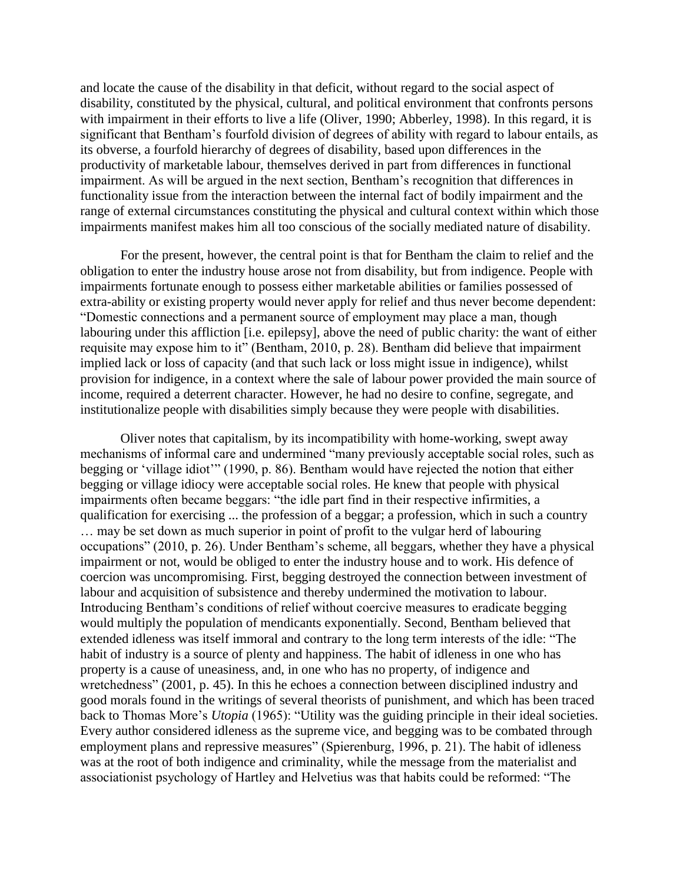and locate the cause of the disability in that deficit, without regard to the social aspect of disability, constituted by the physical, cultural, and political environment that confronts persons with impairment in their efforts to live a life (Oliver, 1990; Abberley, 1998). In this regard, it is significant that Bentham's fourfold division of degrees of ability with regard to labour entails, as its obverse, a fourfold hierarchy of degrees of disability, based upon differences in the productivity of marketable labour, themselves derived in part from differences in functional impairment. As will be argued in the next section, Bentham's recognition that differences in functionality issue from the interaction between the internal fact of bodily impairment and the range of external circumstances constituting the physical and cultural context within which those impairments manifest makes him all too conscious of the socially mediated nature of disability.

For the present, however, the central point is that for Bentham the claim to relief and the obligation to enter the industry house arose not from disability, but from indigence. People with impairments fortunate enough to possess either marketable abilities or families possessed of extra-ability or existing property would never apply for relief and thus never become dependent: "Domestic connections and a permanent source of employment may place a man, though labouring under this affliction [i.e. epilepsy], above the need of public charity: the want of either requisite may expose him to it" (Bentham, 2010, p. 28). Bentham did believe that impairment implied lack or loss of capacity (and that such lack or loss might issue in indigence), whilst provision for indigence, in a context where the sale of labour power provided the main source of income, required a deterrent character. However, he had no desire to confine, segregate, and institutionalize people with disabilities simply because they were people with disabilities.

Oliver notes that capitalism, by its incompatibility with home-working, swept away mechanisms of informal care and undermined "many previously acceptable social roles, such as begging or 'village idiot'" (1990, p. 86). Bentham would have rejected the notion that either begging or village idiocy were acceptable social roles. He knew that people with physical impairments often became beggars: "the idle part find in their respective infirmities, a qualification for exercising ... the profession of a beggar; a profession, which in such a country … may be set down as much superior in point of profit to the vulgar herd of labouring occupations" (2010, p. 26). Under Bentham's scheme, all beggars, whether they have a physical impairment or not, would be obliged to enter the industry house and to work. His defence of coercion was uncompromising. First, begging destroyed the connection between investment of labour and acquisition of subsistence and thereby undermined the motivation to labour. Introducing Bentham's conditions of relief without coercive measures to eradicate begging would multiply the population of mendicants exponentially. Second, Bentham believed that extended idleness was itself immoral and contrary to the long term interests of the idle: "The habit of industry is a source of plenty and happiness. The habit of idleness in one who has property is a cause of uneasiness, and, in one who has no property, of indigence and wretchedness" (2001, p. 45). In this he echoes a connection between disciplined industry and good morals found in the writings of several theorists of punishment, and which has been traced back to Thomas More's *Utopia* (1965): "Utility was the guiding principle in their ideal societies. Every author considered idleness as the supreme vice, and begging was to be combated through employment plans and repressive measures" (Spierenburg, 1996, p. 21). The habit of idleness was at the root of both indigence and criminality, while the message from the materialist and associationist psychology of Hartley and Helvetius was that habits could be reformed: "The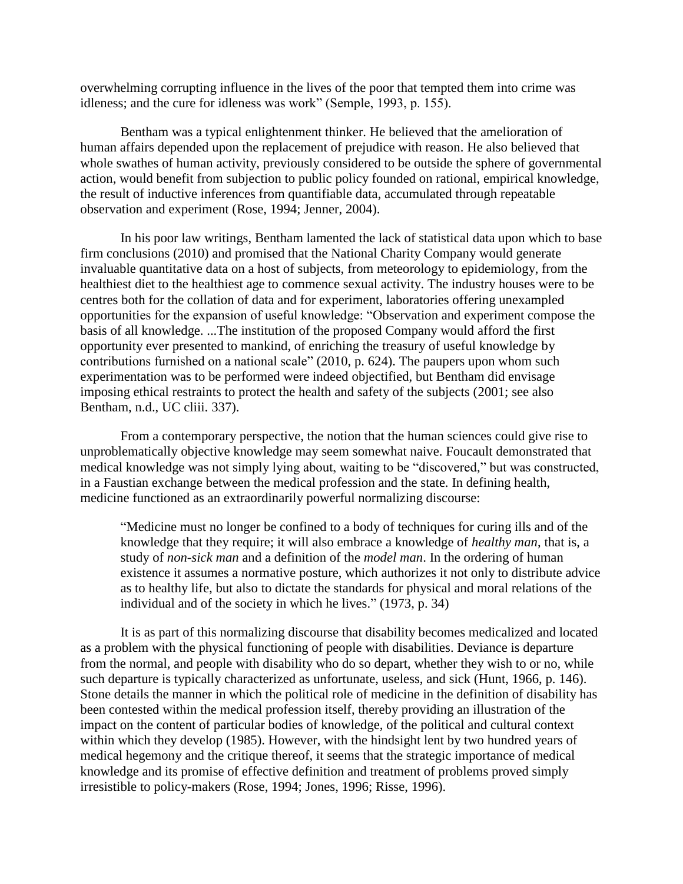overwhelming corrupting influence in the lives of the poor that tempted them into crime was idleness; and the cure for idleness was work" (Semple, 1993, p. 155).

Bentham was a typical enlightenment thinker. He believed that the amelioration of human affairs depended upon the replacement of prejudice with reason. He also believed that whole swathes of human activity, previously considered to be outside the sphere of governmental action, would benefit from subjection to public policy founded on rational, empirical knowledge, the result of inductive inferences from quantifiable data, accumulated through repeatable observation and experiment (Rose, 1994; Jenner, 2004).

In his poor law writings, Bentham lamented the lack of statistical data upon which to base firm conclusions (2010) and promised that the National Charity Company would generate invaluable quantitative data on a host of subjects, from meteorology to epidemiology, from the healthiest diet to the healthiest age to commence sexual activity. The industry houses were to be centres both for the collation of data and for experiment, laboratories offering unexampled opportunities for the expansion of useful knowledge: "Observation and experiment compose the basis of all knowledge. ...The institution of the proposed Company would afford the first opportunity ever presented to mankind, of enriching the treasury of useful knowledge by contributions furnished on a national scale" (2010, p. 624). The paupers upon whom such experimentation was to be performed were indeed objectified, but Bentham did envisage imposing ethical restraints to protect the health and safety of the subjects (2001; see also Bentham, n.d., UC cliii. 337).

From a contemporary perspective, the notion that the human sciences could give rise to unproblematically objective knowledge may seem somewhat naive. Foucault demonstrated that medical knowledge was not simply lying about, waiting to be "discovered," but was constructed, in a Faustian exchange between the medical profession and the state. In defining health, medicine functioned as an extraordinarily powerful normalizing discourse:

"Medicine must no longer be confined to a body of techniques for curing ills and of the knowledge that they require; it will also embrace a knowledge of *healthy man*, that is, a study of *non-sick man* and a definition of the *model man*. In the ordering of human existence it assumes a normative posture, which authorizes it not only to distribute advice as to healthy life, but also to dictate the standards for physical and moral relations of the individual and of the society in which he lives." (1973, p. 34)

It is as part of this normalizing discourse that disability becomes medicalized and located as a problem with the physical functioning of people with disabilities. Deviance is departure from the normal, and people with disability who do so depart, whether they wish to or no, while such departure is typically characterized as unfortunate, useless, and sick (Hunt, 1966, p. 146). Stone details the manner in which the political role of medicine in the definition of disability has been contested within the medical profession itself, thereby providing an illustration of the impact on the content of particular bodies of knowledge, of the political and cultural context within which they develop (1985). However, with the hindsight lent by two hundred years of medical hegemony and the critique thereof, it seems that the strategic importance of medical knowledge and its promise of effective definition and treatment of problems proved simply irresistible to policy-makers (Rose, 1994; Jones, 1996; Risse, 1996).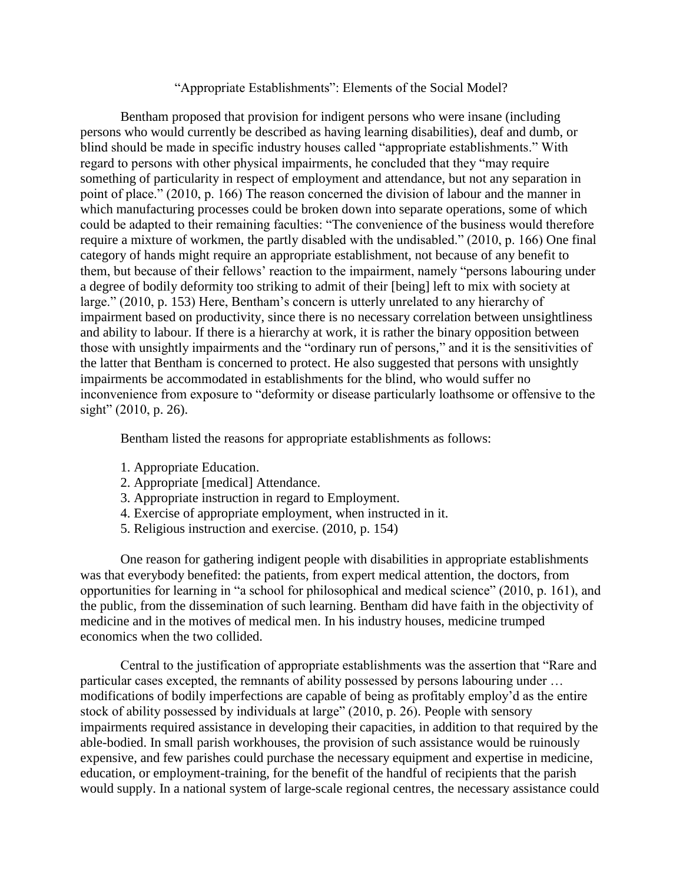# "Appropriate Establishments": Elements of the Social Model?

Bentham proposed that provision for indigent persons who were insane (including persons who would currently be described as having learning disabilities), deaf and dumb, or blind should be made in specific industry houses called "appropriate establishments." With regard to persons with other physical impairments, he concluded that they "may require something of particularity in respect of employment and attendance, but not any separation in point of place." (2010, p. 166) The reason concerned the division of labour and the manner in which manufacturing processes could be broken down into separate operations, some of which could be adapted to their remaining faculties: "The convenience of the business would therefore require a mixture of workmen, the partly disabled with the undisabled." (2010, p. 166) One final category of hands might require an appropriate establishment, not because of any benefit to them, but because of their fellows' reaction to the impairment, namely "persons labouring under a degree of bodily deformity too striking to admit of their [being] left to mix with society at large." (2010, p. 153) Here, Bentham's concern is utterly unrelated to any hierarchy of impairment based on productivity, since there is no necessary correlation between unsightliness and ability to labour. If there is a hierarchy at work, it is rather the binary opposition between those with unsightly impairments and the "ordinary run of persons," and it is the sensitivities of the latter that Bentham is concerned to protect. He also suggested that persons with unsightly impairments be accommodated in establishments for the blind, who would suffer no inconvenience from exposure to "deformity or disease particularly loathsome or offensive to the sight" (2010, p. 26).

Bentham listed the reasons for appropriate establishments as follows:

- 1. Appropriate Education.
- 2. Appropriate [medical] Attendance.
- 3. Appropriate instruction in regard to Employment.
- 4. Exercise of appropriate employment, when instructed in it.
- 5. Religious instruction and exercise. (2010, p. 154)

One reason for gathering indigent people with disabilities in appropriate establishments was that everybody benefited: the patients, from expert medical attention, the doctors, from opportunities for learning in "a school for philosophical and medical science" (2010, p. 161), and the public, from the dissemination of such learning. Bentham did have faith in the objectivity of medicine and in the motives of medical men. In his industry houses, medicine trumped economics when the two collided.

Central to the justification of appropriate establishments was the assertion that "Rare and particular cases excepted, the remnants of ability possessed by persons labouring under … modifications of bodily imperfections are capable of being as profitably employ'd as the entire stock of ability possessed by individuals at large" (2010, p. 26). People with sensory impairments required assistance in developing their capacities, in addition to that required by the able-bodied. In small parish workhouses, the provision of such assistance would be ruinously expensive, and few parishes could purchase the necessary equipment and expertise in medicine, education, or employment-training, for the benefit of the handful of recipients that the parish would supply. In a national system of large-scale regional centres, the necessary assistance could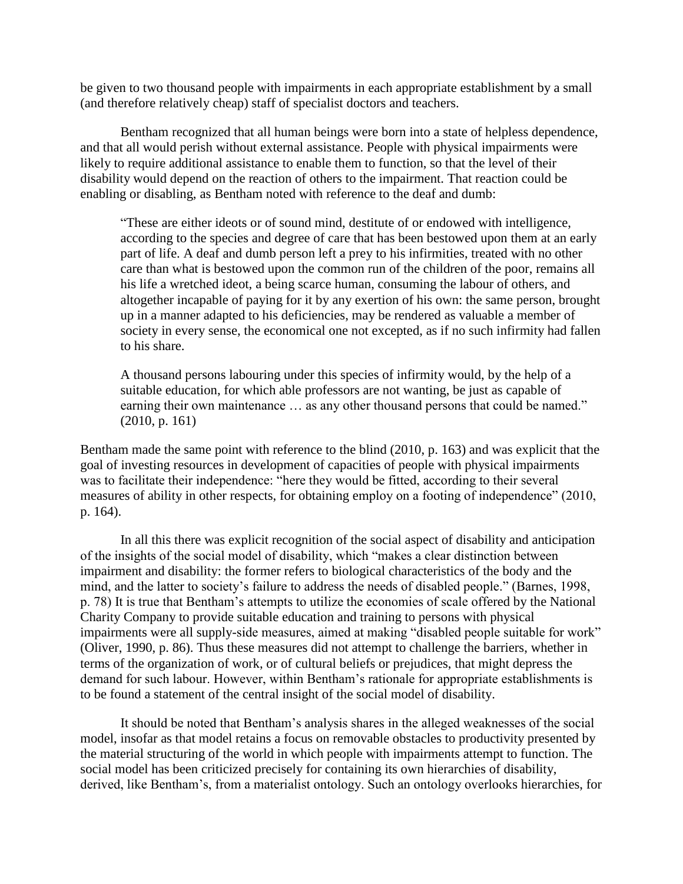be given to two thousand people with impairments in each appropriate establishment by a small (and therefore relatively cheap) staff of specialist doctors and teachers.

Bentham recognized that all human beings were born into a state of helpless dependence, and that all would perish without external assistance. People with physical impairments were likely to require additional assistance to enable them to function, so that the level of their disability would depend on the reaction of others to the impairment. That reaction could be enabling or disabling, as Bentham noted with reference to the deaf and dumb:

"These are either ideots or of sound mind, destitute of or endowed with intelligence, according to the species and degree of care that has been bestowed upon them at an early part of life. A deaf and dumb person left a prey to his infirmities, treated with no other care than what is bestowed upon the common run of the children of the poor, remains all his life a wretched ideot, a being scarce human, consuming the labour of others, and altogether incapable of paying for it by any exertion of his own: the same person, brought up in a manner adapted to his deficiencies, may be rendered as valuable a member of society in every sense, the economical one not excepted, as if no such infirmity had fallen to his share.

A thousand persons labouring under this species of infirmity would, by the help of a suitable education, for which able professors are not wanting, be just as capable of earning their own maintenance ... as any other thousand persons that could be named." (2010, p. 161)

Bentham made the same point with reference to the blind (2010, p. 163) and was explicit that the goal of investing resources in development of capacities of people with physical impairments was to facilitate their independence: "here they would be fitted, according to their several measures of ability in other respects, for obtaining employ on a footing of independence" (2010, p. 164).

In all this there was explicit recognition of the social aspect of disability and anticipation of the insights of the social model of disability, which "makes a clear distinction between impairment and disability: the former refers to biological characteristics of the body and the mind, and the latter to society's failure to address the needs of disabled people." (Barnes, 1998, p. 78) It is true that Bentham's attempts to utilize the economies of scale offered by the National Charity Company to provide suitable education and training to persons with physical impairments were all supply-side measures, aimed at making "disabled people suitable for work" (Oliver, 1990, p. 86). Thus these measures did not attempt to challenge the barriers, whether in terms of the organization of work, or of cultural beliefs or prejudices, that might depress the demand for such labour. However, within Bentham's rationale for appropriate establishments is to be found a statement of the central insight of the social model of disability.

It should be noted that Bentham's analysis shares in the alleged weaknesses of the social model, insofar as that model retains a focus on removable obstacles to productivity presented by the material structuring of the world in which people with impairments attempt to function. The social model has been criticized precisely for containing its own hierarchies of disability, derived, like Bentham's, from a materialist ontology. Such an ontology overlooks hierarchies, for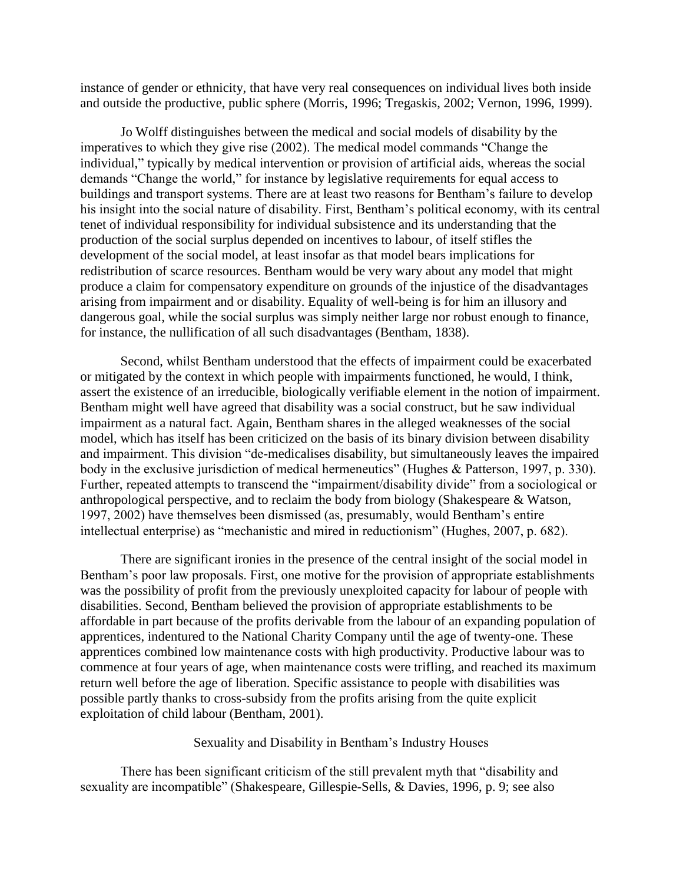instance of gender or ethnicity, that have very real consequences on individual lives both inside and outside the productive, public sphere (Morris, 1996; Tregaskis, 2002; Vernon, 1996, 1999).

Jo Wolff distinguishes between the medical and social models of disability by the imperatives to which they give rise (2002). The medical model commands "Change the individual," typically by medical intervention or provision of artificial aids, whereas the social demands "Change the world," for instance by legislative requirements for equal access to buildings and transport systems. There are at least two reasons for Bentham's failure to develop his insight into the social nature of disability. First, Bentham's political economy, with its central tenet of individual responsibility for individual subsistence and its understanding that the production of the social surplus depended on incentives to labour, of itself stifles the development of the social model, at least insofar as that model bears implications for redistribution of scarce resources. Bentham would be very wary about any model that might produce a claim for compensatory expenditure on grounds of the injustice of the disadvantages arising from impairment and or disability. Equality of well-being is for him an illusory and dangerous goal, while the social surplus was simply neither large nor robust enough to finance, for instance, the nullification of all such disadvantages (Bentham, 1838).

Second, whilst Bentham understood that the effects of impairment could be exacerbated or mitigated by the context in which people with impairments functioned, he would, I think, assert the existence of an irreducible, biologically verifiable element in the notion of impairment. Bentham might well have agreed that disability was a social construct, but he saw individual impairment as a natural fact. Again, Bentham shares in the alleged weaknesses of the social model, which has itself has been criticized on the basis of its binary division between disability and impairment. This division "de-medicalises disability, but simultaneously leaves the impaired body in the exclusive jurisdiction of medical hermeneutics" (Hughes & Patterson, 1997, p. 330). Further, repeated attempts to transcend the "impairment/disability divide" from a sociological or anthropological perspective, and to reclaim the body from biology (Shakespeare & Watson, 1997, 2002) have themselves been dismissed (as, presumably, would Bentham's entire intellectual enterprise) as "mechanistic and mired in reductionism" (Hughes, 2007, p. 682).

There are significant ironies in the presence of the central insight of the social model in Bentham's poor law proposals. First, one motive for the provision of appropriate establishments was the possibility of profit from the previously unexploited capacity for labour of people with disabilities. Second, Bentham believed the provision of appropriate establishments to be affordable in part because of the profits derivable from the labour of an expanding population of apprentices, indentured to the National Charity Company until the age of twenty-one. These apprentices combined low maintenance costs with high productivity. Productive labour was to commence at four years of age, when maintenance costs were trifling, and reached its maximum return well before the age of liberation. Specific assistance to people with disabilities was possible partly thanks to cross-subsidy from the profits arising from the quite explicit exploitation of child labour (Bentham, 2001).

Sexuality and Disability in Bentham's Industry Houses

There has been significant criticism of the still prevalent myth that "disability and sexuality are incompatible" (Shakespeare, Gillespie-Sells, & Davies, 1996, p. 9; see also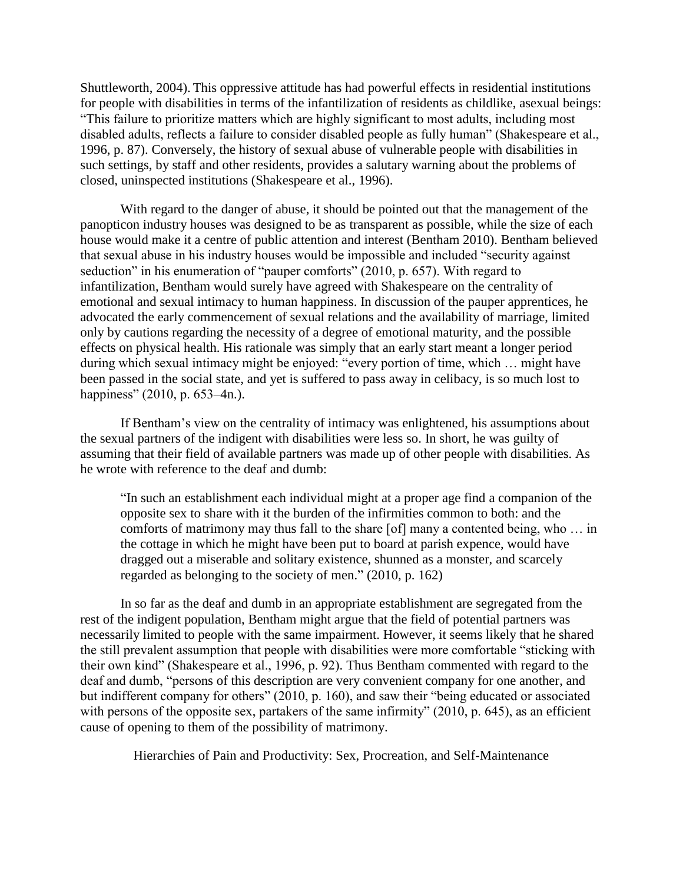Shuttleworth, 2004). This oppressive attitude has had powerful effects in residential institutions for people with disabilities in terms of the infantilization of residents as childlike, asexual beings: "This failure to prioritize matters which are highly significant to most adults, including most disabled adults, reflects a failure to consider disabled people as fully human" (Shakespeare et al., 1996, p. 87). Conversely, the history of sexual abuse of vulnerable people with disabilities in such settings, by staff and other residents, provides a salutary warning about the problems of closed, uninspected institutions (Shakespeare et al., 1996).

With regard to the danger of abuse, it should be pointed out that the management of the panopticon industry houses was designed to be as transparent as possible, while the size of each house would make it a centre of public attention and interest (Bentham 2010). Bentham believed that sexual abuse in his industry houses would be impossible and included "security against seduction" in his enumeration of "pauper comforts" (2010, p. 657). With regard to infantilization, Bentham would surely have agreed with Shakespeare on the centrality of emotional and sexual intimacy to human happiness. In discussion of the pauper apprentices, he advocated the early commencement of sexual relations and the availability of marriage, limited only by cautions regarding the necessity of a degree of emotional maturity, and the possible effects on physical health. His rationale was simply that an early start meant a longer period during which sexual intimacy might be enjoyed: "every portion of time, which … might have been passed in the social state, and yet is suffered to pass away in celibacy, is so much lost to happiness" (2010, p. 653–4n.).

If Bentham's view on the centrality of intimacy was enlightened, his assumptions about the sexual partners of the indigent with disabilities were less so. In short, he was guilty of assuming that their field of available partners was made up of other people with disabilities. As he wrote with reference to the deaf and dumb:

"In such an establishment each individual might at a proper age find a companion of the opposite sex to share with it the burden of the infirmities common to both: and the comforts of matrimony may thus fall to the share [of] many a contented being, who … in the cottage in which he might have been put to board at parish expence, would have dragged out a miserable and solitary existence, shunned as a monster, and scarcely regarded as belonging to the society of men." (2010, p. 162)

In so far as the deaf and dumb in an appropriate establishment are segregated from the rest of the indigent population, Bentham might argue that the field of potential partners was necessarily limited to people with the same impairment. However, it seems likely that he shared the still prevalent assumption that people with disabilities were more comfortable "sticking with their own kind" (Shakespeare et al., 1996, p. 92). Thus Bentham commented with regard to the deaf and dumb, "persons of this description are very convenient company for one another, and but indifferent company for others" (2010, p. 160), and saw their "being educated or associated with persons of the opposite sex, partakers of the same infirmity" (2010, p. 645), as an efficient cause of opening to them of the possibility of matrimony.

Hierarchies of Pain and Productivity: Sex, Procreation, and Self-Maintenance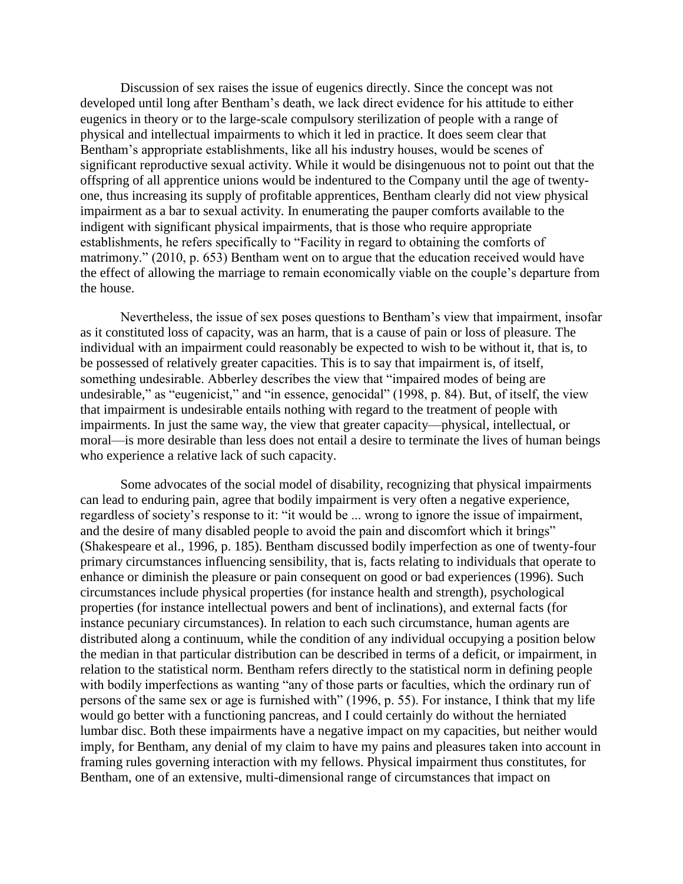Discussion of sex raises the issue of eugenics directly. Since the concept was not developed until long after Bentham's death, we lack direct evidence for his attitude to either eugenics in theory or to the large-scale compulsory sterilization of people with a range of physical and intellectual impairments to which it led in practice. It does seem clear that Bentham's appropriate establishments, like all his industry houses, would be scenes of significant reproductive sexual activity. While it would be disingenuous not to point out that the offspring of all apprentice unions would be indentured to the Company until the age of twentyone, thus increasing its supply of profitable apprentices, Bentham clearly did not view physical impairment as a bar to sexual activity. In enumerating the pauper comforts available to the indigent with significant physical impairments, that is those who require appropriate establishments, he refers specifically to "Facility in regard to obtaining the comforts of matrimony." (2010, p. 653) Bentham went on to argue that the education received would have the effect of allowing the marriage to remain economically viable on the couple's departure from the house.

Nevertheless, the issue of sex poses questions to Bentham's view that impairment, insofar as it constituted loss of capacity, was an harm, that is a cause of pain or loss of pleasure. The individual with an impairment could reasonably be expected to wish to be without it, that is, to be possessed of relatively greater capacities. This is to say that impairment is, of itself, something undesirable. Abberley describes the view that "impaired modes of being are undesirable," as "eugenicist," and "in essence, genocidal" (1998, p. 84). But, of itself, the view that impairment is undesirable entails nothing with regard to the treatment of people with impairments. In just the same way, the view that greater capacity—physical, intellectual, or moral—is more desirable than less does not entail a desire to terminate the lives of human beings who experience a relative lack of such capacity.

Some advocates of the social model of disability, recognizing that physical impairments can lead to enduring pain, agree that bodily impairment is very often a negative experience, regardless of society's response to it: "it would be ... wrong to ignore the issue of impairment, and the desire of many disabled people to avoid the pain and discomfort which it brings" (Shakespeare et al., 1996, p. 185). Bentham discussed bodily imperfection as one of twenty-four primary circumstances influencing sensibility, that is, facts relating to individuals that operate to enhance or diminish the pleasure or pain consequent on good or bad experiences (1996). Such circumstances include physical properties (for instance health and strength), psychological properties (for instance intellectual powers and bent of inclinations), and external facts (for instance pecuniary circumstances). In relation to each such circumstance, human agents are distributed along a continuum, while the condition of any individual occupying a position below the median in that particular distribution can be described in terms of a deficit, or impairment, in relation to the statistical norm. Bentham refers directly to the statistical norm in defining people with bodily imperfections as wanting "any of those parts or faculties, which the ordinary run of persons of the same sex or age is furnished with" (1996, p. 55). For instance, I think that my life would go better with a functioning pancreas, and I could certainly do without the herniated lumbar disc. Both these impairments have a negative impact on my capacities, but neither would imply, for Bentham, any denial of my claim to have my pains and pleasures taken into account in framing rules governing interaction with my fellows. Physical impairment thus constitutes, for Bentham, one of an extensive, multi-dimensional range of circumstances that impact on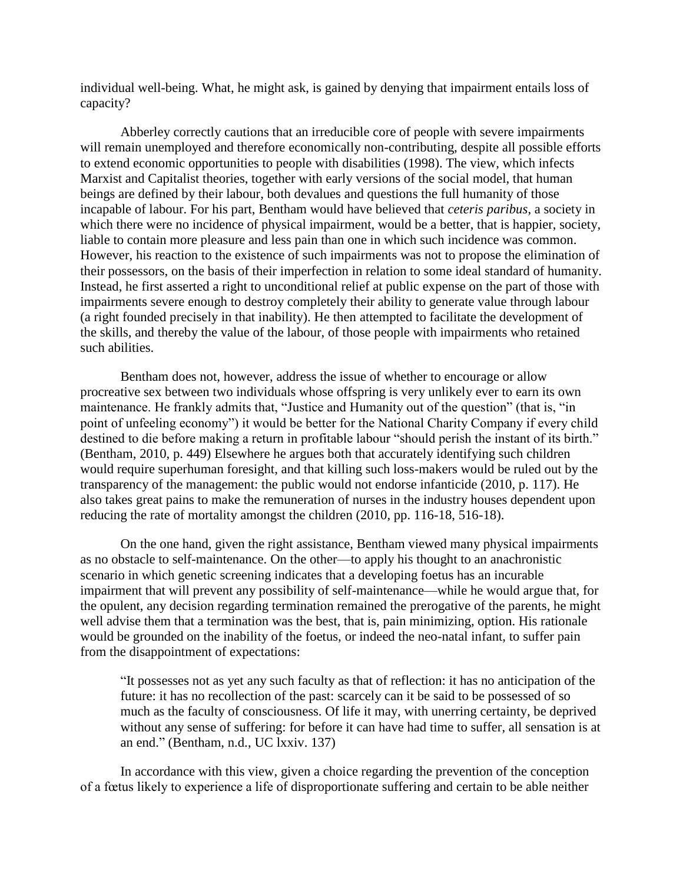individual well-being. What, he might ask, is gained by denying that impairment entails loss of capacity?

Abberley correctly cautions that an irreducible core of people with severe impairments will remain unemployed and therefore economically non-contributing, despite all possible efforts to extend economic opportunities to people with disabilities (1998). The view, which infects Marxist and Capitalist theories, together with early versions of the social model, that human beings are defined by their labour, both devalues and questions the full humanity of those incapable of labour. For his part, Bentham would have believed that *ceteris paribus*, a society in which there were no incidence of physical impairment, would be a better, that is happier, society, liable to contain more pleasure and less pain than one in which such incidence was common. However, his reaction to the existence of such impairments was not to propose the elimination of their possessors, on the basis of their imperfection in relation to some ideal standard of humanity. Instead, he first asserted a right to unconditional relief at public expense on the part of those with impairments severe enough to destroy completely their ability to generate value through labour (a right founded precisely in that inability). He then attempted to facilitate the development of the skills, and thereby the value of the labour, of those people with impairments who retained such abilities.

Bentham does not, however, address the issue of whether to encourage or allow procreative sex between two individuals whose offspring is very unlikely ever to earn its own maintenance. He frankly admits that, "Justice and Humanity out of the question" (that is, "in point of unfeeling economy") it would be better for the National Charity Company if every child destined to die before making a return in profitable labour "should perish the instant of its birth." (Bentham, 2010, p. 449) Elsewhere he argues both that accurately identifying such children would require superhuman foresight, and that killing such loss-makers would be ruled out by the transparency of the management: the public would not endorse infanticide (2010, p. 117). He also takes great pains to make the remuneration of nurses in the industry houses dependent upon reducing the rate of mortality amongst the children (2010, pp. 116-18, 516-18).

On the one hand, given the right assistance, Bentham viewed many physical impairments as no obstacle to self-maintenance. On the other—to apply his thought to an anachronistic scenario in which genetic screening indicates that a developing foetus has an incurable impairment that will prevent any possibility of self-maintenance—while he would argue that, for the opulent, any decision regarding termination remained the prerogative of the parents, he might well advise them that a termination was the best, that is, pain minimizing, option. His rationale would be grounded on the inability of the foetus, or indeed the neo-natal infant, to suffer pain from the disappointment of expectations:

"It possesses not as yet any such faculty as that of reflection: it has no anticipation of the future: it has no recollection of the past: scarcely can it be said to be possessed of so much as the faculty of consciousness. Of life it may, with unerring certainty, be deprived without any sense of suffering: for before it can have had time to suffer, all sensation is at an end." (Bentham, n.d., UC lxxiv. 137)

In accordance with this view, given a choice regarding the prevention of the conception of a fœtus likely to experience a life of disproportionate suffering and certain to be able neither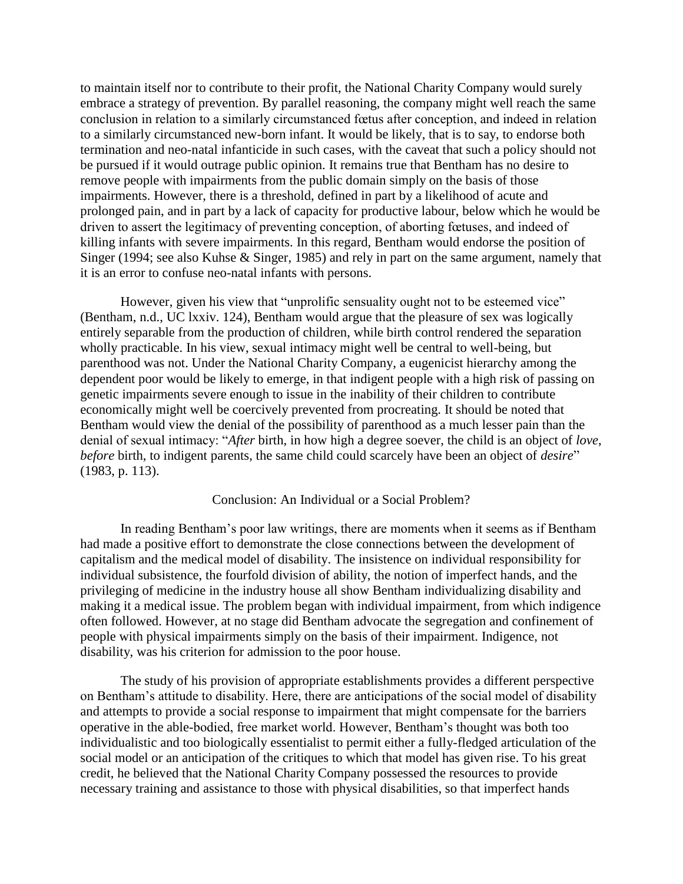to maintain itself nor to contribute to their profit, the National Charity Company would surely embrace a strategy of prevention. By parallel reasoning, the company might well reach the same conclusion in relation to a similarly circumstanced fœtus after conception, and indeed in relation to a similarly circumstanced new-born infant. It would be likely, that is to say, to endorse both termination and neo-natal infanticide in such cases, with the caveat that such a policy should not be pursued if it would outrage public opinion. It remains true that Bentham has no desire to remove people with impairments from the public domain simply on the basis of those impairments. However, there is a threshold, defined in part by a likelihood of acute and prolonged pain, and in part by a lack of capacity for productive labour, below which he would be driven to assert the legitimacy of preventing conception, of aborting fœtuses, and indeed of killing infants with severe impairments. In this regard, Bentham would endorse the position of Singer (1994; see also Kuhse & Singer, 1985) and rely in part on the same argument, namely that it is an error to confuse neo-natal infants with persons.

However, given his view that "unprolific sensuality ought not to be esteemed vice" (Bentham, n.d., UC lxxiv. 124), Bentham would argue that the pleasure of sex was logically entirely separable from the production of children, while birth control rendered the separation wholly practicable. In his view, sexual intimacy might well be central to well-being, but parenthood was not. Under the National Charity Company, a eugenicist hierarchy among the dependent poor would be likely to emerge, in that indigent people with a high risk of passing on genetic impairments severe enough to issue in the inability of their children to contribute economically might well be coercively prevented from procreating. It should be noted that Bentham would view the denial of the possibility of parenthood as a much lesser pain than the denial of sexual intimacy: "*After* birth, in how high a degree soever, the child is an object of *love*, *before* birth, to indigent parents, the same child could scarcely have been an object of *desire*" (1983, p. 113).

#### Conclusion: An Individual or a Social Problem?

In reading Bentham's poor law writings, there are moments when it seems as if Bentham had made a positive effort to demonstrate the close connections between the development of capitalism and the medical model of disability. The insistence on individual responsibility for individual subsistence, the fourfold division of ability, the notion of imperfect hands, and the privileging of medicine in the industry house all show Bentham individualizing disability and making it a medical issue. The problem began with individual impairment, from which indigence often followed. However, at no stage did Bentham advocate the segregation and confinement of people with physical impairments simply on the basis of their impairment. Indigence, not disability, was his criterion for admission to the poor house.

The study of his provision of appropriate establishments provides a different perspective on Bentham's attitude to disability. Here, there are anticipations of the social model of disability and attempts to provide a social response to impairment that might compensate for the barriers operative in the able-bodied, free market world. However, Bentham's thought was both too individualistic and too biologically essentialist to permit either a fully-fledged articulation of the social model or an anticipation of the critiques to which that model has given rise. To his great credit, he believed that the National Charity Company possessed the resources to provide necessary training and assistance to those with physical disabilities, so that imperfect hands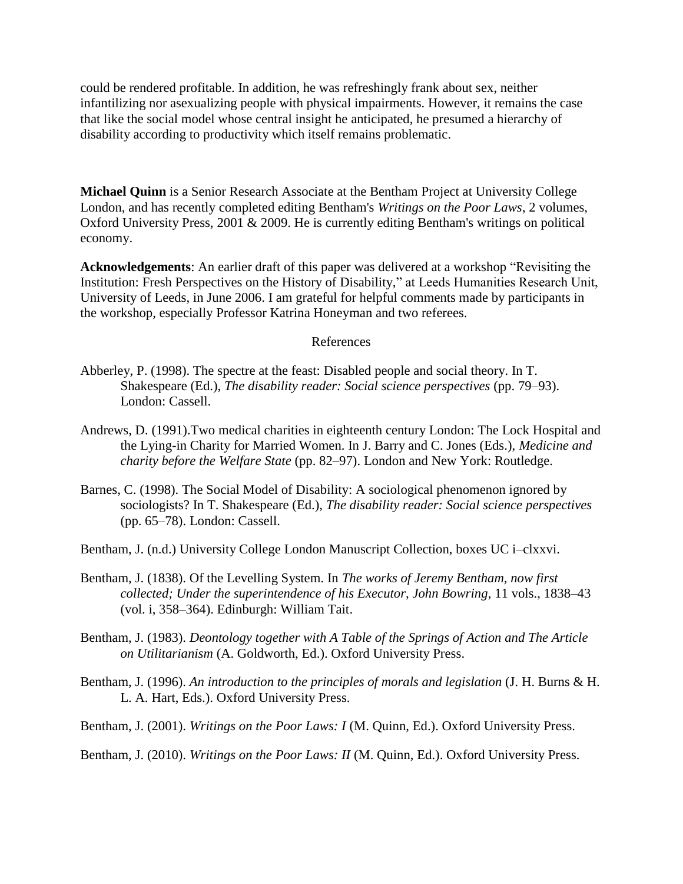could be rendered profitable. In addition, he was refreshingly frank about sex, neither infantilizing nor asexualizing people with physical impairments. However, it remains the case that like the social model whose central insight he anticipated, he presumed a hierarchy of disability according to productivity which itself remains problematic.

**Michael Quinn** is a Senior Research Associate at the Bentham Project at University College London, and has recently completed editing Bentham's *Writings on the Poor Laws*, 2 volumes, Oxford University Press, 2001 & 2009. He is currently editing Bentham's writings on political economy.

**Acknowledgements**: An earlier draft of this paper was delivered at a workshop "Revisiting the Institution: Fresh Perspectives on the History of Disability," at Leeds Humanities Research Unit, University of Leeds, in June 2006. I am grateful for helpful comments made by participants in the workshop, especially Professor Katrina Honeyman and two referees.

#### References

- Abberley, P. (1998). The spectre at the feast: Disabled people and social theory. In T. Shakespeare (Ed.), *The disability reader: Social science perspectives* (pp. 79–93). London: Cassell.
- Andrews, D. (1991).Two medical charities in eighteenth century London: The Lock Hospital and the Lying-in Charity for Married Women. In J. Barry and C. Jones (Eds.), *Medicine and charity before the Welfare State* (pp. 82–97). London and New York: Routledge.
- Barnes, C. (1998). The Social Model of Disability: A sociological phenomenon ignored by sociologists? In T. Shakespeare (Ed.), *The disability reader: Social science perspectives* (pp. 65–78). London: Cassell.
- Bentham, J. (n.d.) University College London Manuscript Collection, boxes UC i–clxxvi.
- Bentham, J. (1838). Of the Levelling System. In *The works of Jeremy Bentham, now first collected; Under the superintendence of his Executor, John Bowring*, 11 vols., 1838–43 (vol. i, 358–364). Edinburgh: William Tait.
- Bentham, J. (1983). *Deontology together with A Table of the Springs of Action and The Article on Utilitarianism* (A. Goldworth, Ed.). Oxford University Press.
- Bentham, J. (1996). *An introduction to the principles of morals and legislation* (J. H. Burns & H. L. A. Hart, Eds.). Oxford University Press.
- Bentham, J. (2001). *Writings on the Poor Laws: I* (M. Quinn, Ed.). Oxford University Press.
- Bentham, J. (2010). *Writings on the Poor Laws: II* (M. Quinn, Ed.). Oxford University Press.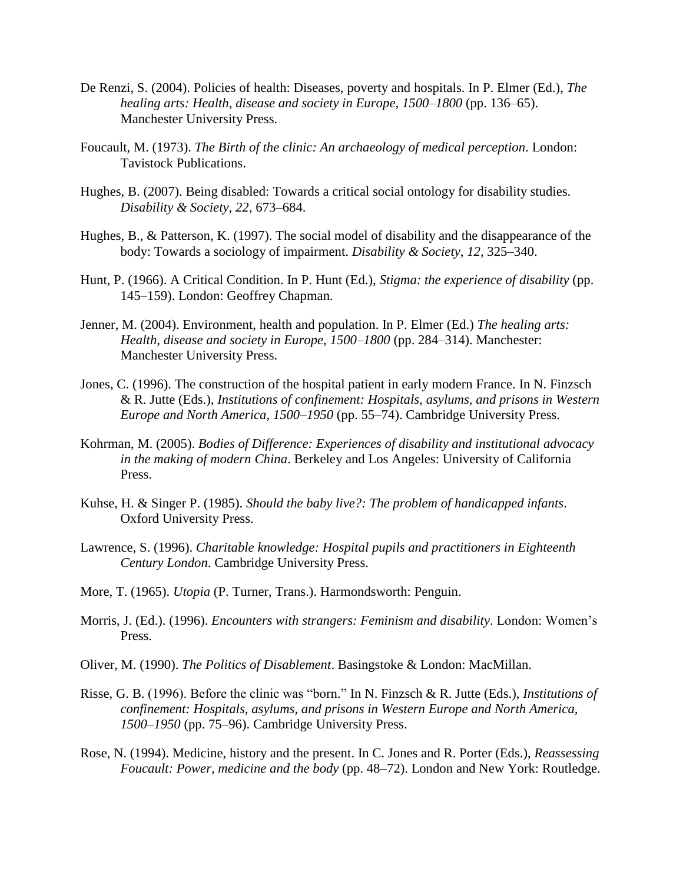- De Renzi, S. (2004). Policies of health: Diseases, poverty and hospitals. In P. Elmer (Ed.), *The healing arts: Health, disease and society in Europe, 1500–1800* (pp. 136–65). Manchester University Press.
- Foucault, M. (1973). *The Birth of the clinic: An archaeology of medical perception*. London: Tavistock Publications.
- Hughes, B. (2007). Being disabled: Towards a critical social ontology for disability studies. *Disability & Society*, *22,* 673–684.
- Hughes, B., & Patterson, K. (1997). The social model of disability and the disappearance of the body: Towards a sociology of impairment. *Disability & Society*, *12,* 325–340.
- Hunt, P. (1966). A Critical Condition. In P. Hunt (Ed.), *Stigma: the experience of disability* (pp. 145–159). London: Geoffrey Chapman.
- Jenner, M. (2004). Environment, health and population. In P. Elmer (Ed.) *The healing arts: Health, disease and society in Europe, 1500–1800* (pp. 284–314). Manchester: Manchester University Press.
- Jones, C. (1996). The construction of the hospital patient in early modern France. In N. Finzsch & R. Jutte (Eds.), *Institutions of confinement: Hospitals, asylums, and prisons in Western Europe and North America, 1500–1950* (pp. 55–74). Cambridge University Press.
- Kohrman, M. (2005). *Bodies of Difference: Experiences of disability and institutional advocacy in the making of modern China*. Berkeley and Los Angeles: University of California Press.
- Kuhse, H. & Singer P. (1985). *Should the baby live?: The problem of handicapped infants*. Oxford University Press.
- Lawrence, S. (1996). *Charitable knowledge: Hospital pupils and practitioners in Eighteenth Century London*. Cambridge University Press.
- More, T. (1965). *Utopia* (P. Turner, Trans.). Harmondsworth: Penguin.
- Morris, J. (Ed.). (1996). *Encounters with strangers: Feminism and disability*. London: Women's Press.
- Oliver, M. (1990). *The Politics of Disablement*. Basingstoke & London: MacMillan.
- Risse, G. B. (1996). Before the clinic was "born." In N. Finzsch & R. Jutte (Eds.), *Institutions of confinement: Hospitals, asylums, and prisons in Western Europe and North America, 1500–1950* (pp. 75–96). Cambridge University Press.
- Rose, N. (1994). Medicine, history and the present. In C. Jones and R. Porter (Eds.), *Reassessing Foucault: Power, medicine and the body* (pp. 48–72). London and New York: Routledge.